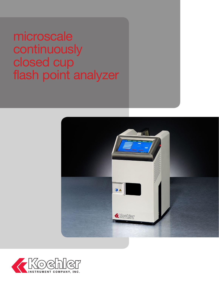# microscale continuously closed cup flash point analyzer



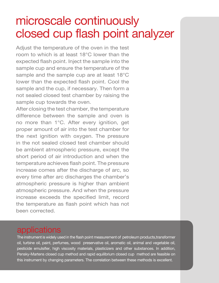## microscale continuously closed cup flash point analyzer

Adjust the temperature of the oven in the test room to which is at least 18°C lower than the expected flash point. Inject the sample into the sample cup and ensure the temperature of the sample and the sample cup are at least 18°C lower than the expected flash point. Cool the sample and the cup, if necessary. Then form a not sealed closed test chamber by raising the sample cup towards the oven.

After closing the test chamber, the temperature difference between the sample and oven is no more than 1°C. After every ignition, get proper amount of air into the test chamber for the next ignition with oxygen. The pressure in the not sealed closed test chamber should be ambient atmospheric pressure, except the short period of air introduction and when the temperature achieves flash point. The pressure increase comes after the discharge of arc, so every time after arc discharges the chamber's atmospheric pressure is higher than ambient atmospheric pressure. And when the pressure increase exceeds the specified limit, record the temperature as flash point which has not been corrected.

### applications

The instrument is widely used in the flash point measurement of petroleum products,transformer oil, turbine oil, paint, perfumes, wood preservative oil, aromatic oil, animal and vegetable oil, pesticide emulsifier, high viscosity materials, plasticizers and other substances. In addition, Pensky-Martens closed cup method and rapid equilibrium closed cup method are feasible on this instrument by changing parameters. The correlation between these methods is excellent.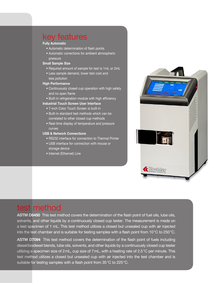### key features

#### **Fully Automatic**

- Automatic determination of flash points
- Automatic corrections for ambient atmospheric pressure

#### **Small Sample Size**

- Required amount of sample for test is 1mL or 2mL
- Less sample demand, lower test cost and less pollution

#### **High Performance**

- Continuously closed cup operation with high safety and no open flame
- Built-in refrigeration module with high efficiency

#### **Industrial Touch Screen User Interface**

- 7-inch Color Touch Screen is built-in
- Built-in standard test methods which can be correlated to other closed cup methods
- Real-time display of temperature and pressure curves

#### **USB & Network Connections**

- RS232 interface for connection to Thermal Printer
- USB interface for connection with mouse or storage device
- Internet (Ethernet) Line



### test method

**ASTM D6450** This test method covers the determination of the flash point of fuel oils, lube oils, solvents, and other liquids by a continuously closed cup tester. The measurement is made on a test specimen of 1 mL. This test method utilizes a closed but unsealed cup with air injected into the test chamber and is suitable for testing samples with a flash point from 10°C to 250°C.

**ASTM D7094** This test method covers the determination of the flash point of fuels including diesel/biodiesel blends, lube oils, solvents, and other liquids by a continuously closed cup tester utilizing a specimen size of 2mL, cup size of 7mL, with a heating rate of 2.5°C per minute. This test method utilizes a closed but unsealed cup with air injected into the test chamber and is suitable for testing samples with a flash point from 35°C to 225°C.